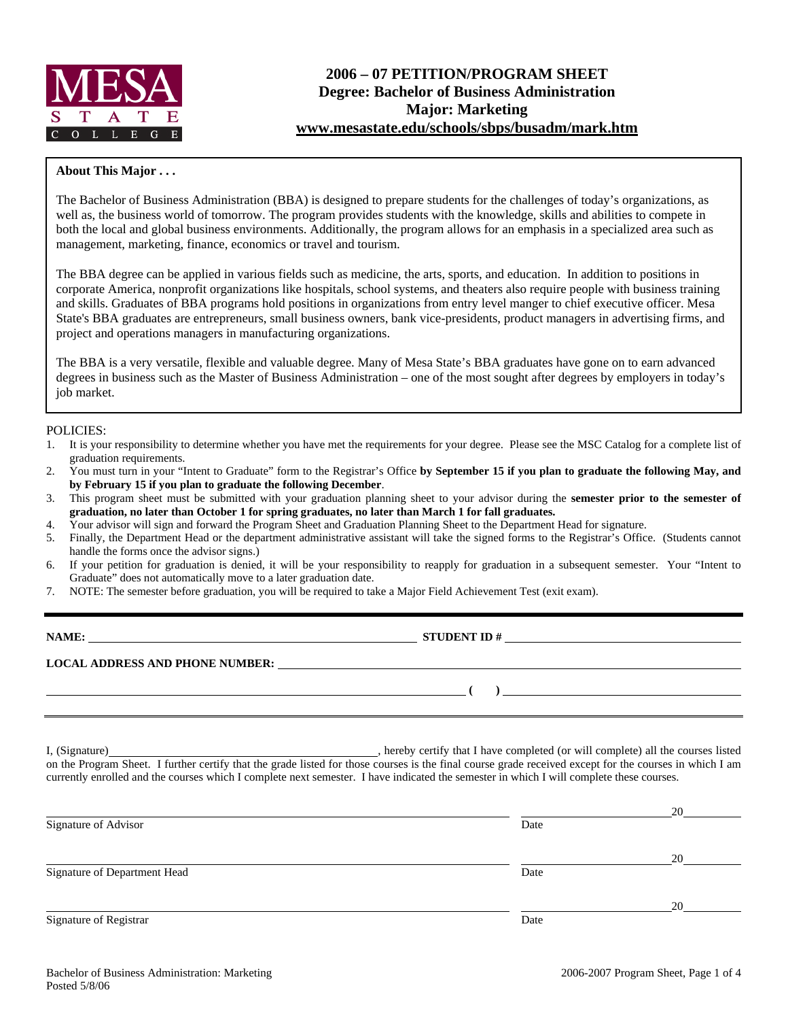

# **2006 – 07 PETITION/PROGRAM SHEET Degree: Bachelor of Business Administration Major: Marketing www.mesastate.edu/schools/sbps/busadm/mark.htm**

### **About This Major . . .**

The Bachelor of Business Administration (BBA) is designed to prepare students for the challenges of today's organizations, as well as, the business world of tomorrow. The program provides students with the knowledge, skills and abilities to compete in both the local and global business environments. Additionally, the program allows for an emphasis in a specialized area such as management, marketing, finance, economics or travel and tourism.

The BBA degree can be applied in various fields such as medicine, the arts, sports, and education. In addition to positions in corporate America, nonprofit organizations like hospitals, school systems, and theaters also require people with business training and skills. Graduates of BBA programs hold positions in organizations from entry level manger to chief executive officer. Mesa State's BBA graduates are entrepreneurs, small business owners, bank vice-presidents, product managers in advertising firms, and project and operations managers in manufacturing organizations.

The BBA is a very versatile, flexible and valuable degree. Many of Mesa State's BBA graduates have gone on to earn advanced degrees in business such as the Master of Business Administration – one of the most sought after degrees by employers in today's job market.

### POLICIES:

- 1. It is your responsibility to determine whether you have met the requirements for your degree. Please see the MSC Catalog for a complete list of graduation requirements.
- 2. You must turn in your "Intent to Graduate" form to the Registrar's Office **by September 15 if you plan to graduate the following May, and by February 15 if you plan to graduate the following December**.
- 3. This program sheet must be submitted with your graduation planning sheet to your advisor during the **semester prior to the semester of graduation, no later than October 1 for spring graduates, no later than March 1 for fall graduates.**
- 4. Your advisor will sign and forward the Program Sheet and Graduation Planning Sheet to the Department Head for signature.
- 5. Finally, the Department Head or the department administrative assistant will take the signed forms to the Registrar's Office. (Students cannot handle the forms once the advisor signs.)
- 6. If your petition for graduation is denied, it will be your responsibility to reapply for graduation in a subsequent semester. Your "Intent to Graduate" does not automatically move to a later graduation date.
- 7. NOTE: The semester before graduation, you will be required to take a Major Field Achievement Test (exit exam).

**STUDENT ID #** 

 **( )** 

**LOCAL ADDRESS AND PHONE NUMBER:**

I, (Signature) , hereby certify that I have completed (or will complete) all the courses listed on the Program Sheet. I further certify that the grade listed for those courses is the final course grade received except for the courses in which I am currently enrolled and the courses which I complete next semester. I have indicated the semester in which I will complete these courses.

|                              |      | 20 |
|------------------------------|------|----|
| Signature of Advisor         | Date |    |
|                              |      | 20 |
| Signature of Department Head | Date |    |
|                              |      | 20 |
| Signature of Registrar       | Date |    |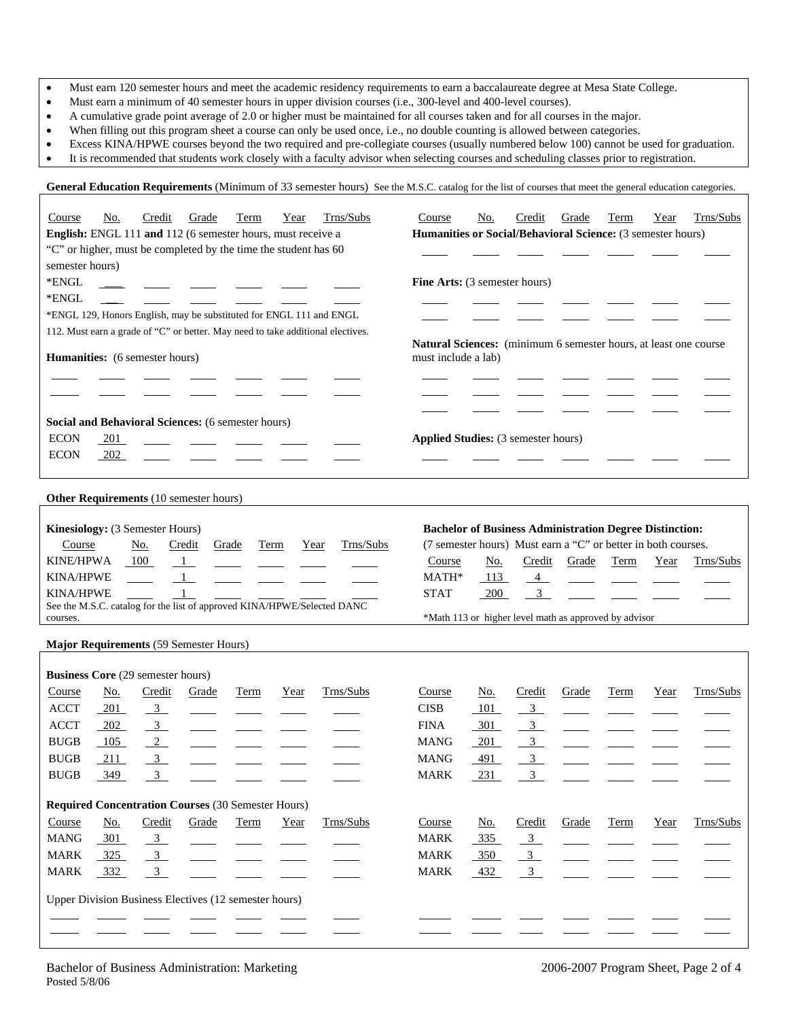- Must earn 120 semester hours and meet the academic residency requirements to earn a baccalaureate degree at Mesa State College.
- Must earn a minimum of 40 semester hours in upper division courses (i.e., 300-level and 400-level courses).
- A cumulative grade point average of 2.0 or higher must be maintained for all courses taken and for all courses in the major.
- When filling out this program sheet a course can only be used once, i.e., no double counting is allowed between categories.
- Excess KINA/HPWE courses beyond the two required and pre-collegiate courses (usually numbered below 100) cannot be used for graduation.

General Education Requirements (Minimum of 33 semester hours) See the M.S.C. catalog for the list of courses that meet the general education categories.

• It is recommended that students work closely with a faculty advisor when selecting courses and scheduling classes prior to registration.

| Trns/Subs<br>Term<br>Course<br>Credit<br>Grade<br>Year<br><u>No.</u><br>English: ENGL 111 and 112 (6 semester hours, must receive a<br>"C" or higher, must be completed by the time the student has 60<br>semester hours)<br>*ENGL<br>*ENGL<br>*ENGL 129, Honors English, may be substituted for ENGL 111 and ENGL<br>112. Must earn a grade of "C" or better. May need to take additional electives. | Trns/Subs<br>Term<br>Course<br><u>No.</u><br>Credit<br>Grade<br>Year<br>Humanities or Social/Behavioral Science: (3 semester hours)<br>Fine Arts: (3 semester hours)                                    |
|-------------------------------------------------------------------------------------------------------------------------------------------------------------------------------------------------------------------------------------------------------------------------------------------------------------------------------------------------------------------------------------------------------|---------------------------------------------------------------------------------------------------------------------------------------------------------------------------------------------------------|
| Humanities: (6 semester hours)                                                                                                                                                                                                                                                                                                                                                                        | Natural Sciences: (minimum 6 semester hours, at least one course<br>must include a lab)                                                                                                                 |
|                                                                                                                                                                                                                                                                                                                                                                                                       |                                                                                                                                                                                                         |
|                                                                                                                                                                                                                                                                                                                                                                                                       |                                                                                                                                                                                                         |
|                                                                                                                                                                                                                                                                                                                                                                                                       |                                                                                                                                                                                                         |
| Social and Behavioral Sciences: (6 semester hours)                                                                                                                                                                                                                                                                                                                                                    |                                                                                                                                                                                                         |
| <b>ECON</b><br>201<br><b>ECON</b>                                                                                                                                                                                                                                                                                                                                                                     | <b>Applied Studies:</b> (3 semester hours)                                                                                                                                                              |
| 202                                                                                                                                                                                                                                                                                                                                                                                                   |                                                                                                                                                                                                         |
|                                                                                                                                                                                                                                                                                                                                                                                                       |                                                                                                                                                                                                         |
| Other Requirements (10 semester hours)                                                                                                                                                                                                                                                                                                                                                                |                                                                                                                                                                                                         |
| Kinesiology: (3 Semester Hours)<br>Trns/Subs<br>Credit<br>Course<br><u>No.</u><br>Grade<br><b>Term</b><br>Year<br><b>KINE/HPWA</b><br>100<br>$\frac{1}{2}$                                                                                                                                                                                                                                            | <b>Bachelor of Business Administration Degree Distinction:</b><br>(7 semester hours) Must earn a "C" or better in both courses.<br>Course<br><u>No.</u><br>Credit<br>Term<br>Trns/Subs<br>Grade<br>Year |
| <b>KINA/HPWE</b><br>$\mathbf{1}$                                                                                                                                                                                                                                                                                                                                                                      | MATH*<br>113<br>4                                                                                                                                                                                       |
| <b>KINA/HPWE</b><br>$\mathbf{1}$                                                                                                                                                                                                                                                                                                                                                                      | 3 <sup>7</sup><br><b>STAT</b><br>200                                                                                                                                                                    |
| See the M.S.C. catalog for the list of approved KINA/HPWE/Selected DANC                                                                                                                                                                                                                                                                                                                               |                                                                                                                                                                                                         |
| courses.                                                                                                                                                                                                                                                                                                                                                                                              | *Math 113 or higher level math as approved by advisor                                                                                                                                                   |
| Major Requirements (59 Semester Hours)                                                                                                                                                                                                                                                                                                                                                                |                                                                                                                                                                                                         |
| <b>Business Core</b> (29 semester hours)                                                                                                                                                                                                                                                                                                                                                              |                                                                                                                                                                                                         |
| Trns/Subs<br>Credit<br>Course<br><u>No.</u><br>Grade<br>Term<br>Year                                                                                                                                                                                                                                                                                                                                  | Trns/Subs<br>Credit<br>Term<br>Course<br>No.<br>Grade<br>Year                                                                                                                                           |
| <b>ACCT</b><br>201<br>$\overline{\mathbf{3}}$                                                                                                                                                                                                                                                                                                                                                         | <b>CISB</b><br>101<br>3 <sup>1</sup>                                                                                                                                                                    |
| <b>ACCT</b><br>202<br>$\overline{3}$                                                                                                                                                                                                                                                                                                                                                                  | <b>FINA</b><br>301<br>$\frac{3}{2}$                                                                                                                                                                     |
| $\overline{2}$<br><b>BUGB</b><br>105                                                                                                                                                                                                                                                                                                                                                                  | $\overline{3}$<br><b>MANG</b><br>201                                                                                                                                                                    |
| <b>BUGB</b><br>211<br>$\overline{3}$                                                                                                                                                                                                                                                                                                                                                                  | <b>MANG</b><br>$\mathfrak{Z}$<br>491                                                                                                                                                                    |
| <b>BUGB</b><br>349<br>3                                                                                                                                                                                                                                                                                                                                                                               | <b>MARK</b><br>231<br>3                                                                                                                                                                                 |
| <b>Required Concentration Courses (30 Semester Hours)</b>                                                                                                                                                                                                                                                                                                                                             |                                                                                                                                                                                                         |
| Credit<br>Grade<br>Trns/Subs<br>Course<br><u>No.</u><br>Term<br>Year                                                                                                                                                                                                                                                                                                                                  | Trns/Subs<br>Course<br><u>No.</u><br>Credit<br>Grade<br>Term<br>Year                                                                                                                                    |
| MANG<br>301<br>$\frac{3}{2}$                                                                                                                                                                                                                                                                                                                                                                          | <b>MARK</b><br>335<br>$\overline{3}$                                                                                                                                                                    |
| 3 <sup>1</sup><br>MARK<br>325                                                                                                                                                                                                                                                                                                                                                                         | $\frac{3}{2}$<br><b>MARK</b><br>350                                                                                                                                                                     |
| MARK<br>332<br>$\mathbf{3}$                                                                                                                                                                                                                                                                                                                                                                           | <b>MARK</b><br>432<br>$\overline{3}$                                                                                                                                                                    |
|                                                                                                                                                                                                                                                                                                                                                                                                       |                                                                                                                                                                                                         |
| Upper Division Business Electives (12 semester hours)                                                                                                                                                                                                                                                                                                                                                 |                                                                                                                                                                                                         |
|                                                                                                                                                                                                                                                                                                                                                                                                       |                                                                                                                                                                                                         |
|                                                                                                                                                                                                                                                                                                                                                                                                       |                                                                                                                                                                                                         |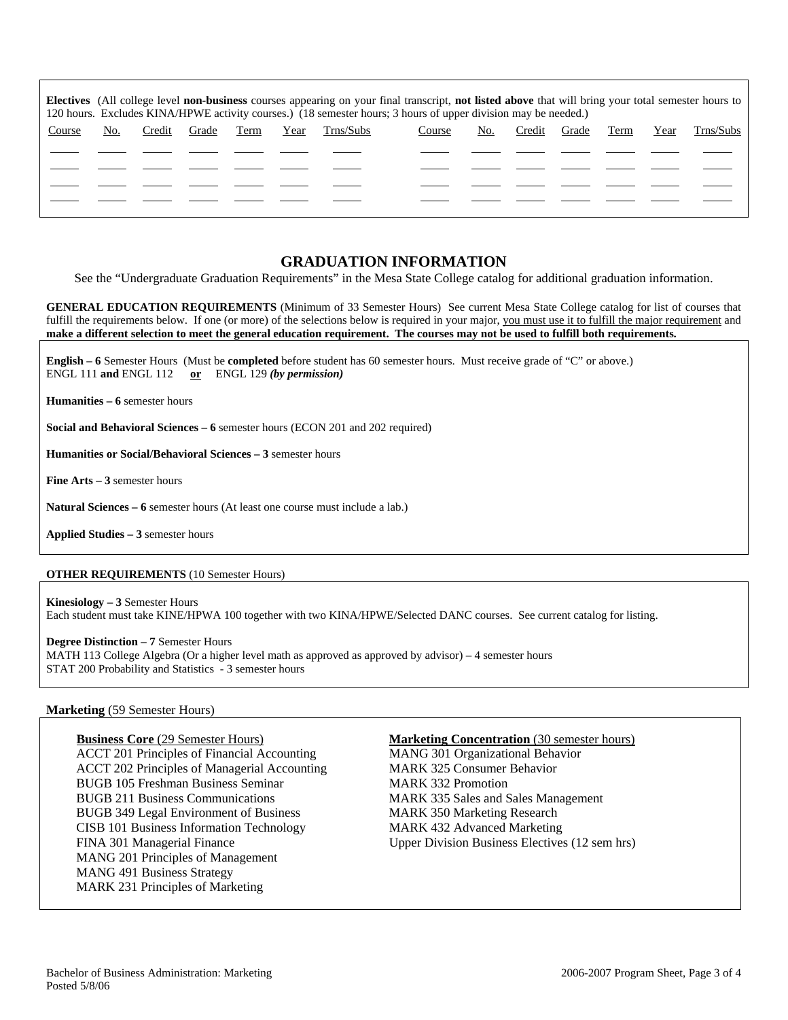| Electives (All college level non-business courses appearing on your final transcript, not listed above that will bring your total semester hours to<br>120 hours. Excludes KINA/HPWE activity courses.) (18 semester hours; 3 hours of upper division may be needed.) |     |        |       |      |      |           |        |     |        |       |      |      |           |
|-----------------------------------------------------------------------------------------------------------------------------------------------------------------------------------------------------------------------------------------------------------------------|-----|--------|-------|------|------|-----------|--------|-----|--------|-------|------|------|-----------|
| Course                                                                                                                                                                                                                                                                | No. | Credit | Grade | Term | Year | Trns/Subs | Course | No. | Credit | Grade | Term | Year | Trns/Subs |
|                                                                                                                                                                                                                                                                       |     |        |       |      |      |           |        |     |        |       |      |      |           |
|                                                                                                                                                                                                                                                                       |     |        |       |      |      |           |        |     |        |       |      |      |           |
|                                                                                                                                                                                                                                                                       |     |        |       |      |      |           |        |     |        |       |      |      |           |
|                                                                                                                                                                                                                                                                       |     |        |       |      |      |           |        |     |        |       |      |      |           |

## **GRADUATION INFORMATION**

See the "Undergraduate Graduation Requirements" in the Mesa State College catalog for additional graduation information.

**GENERAL EDUCATION REQUIREMENTS** (Minimum of 33 Semester Hours) See current Mesa State College catalog for list of courses that fulfill the requirements below. If one (or more) of the selections below is required in your major, you must use it to fulfill the major requirement and **make a different selection to meet the general education requirement. The courses may not be used to fulfill both requirements.**

**English – 6** Semester Hours (Must be **completed** before student has 60 semester hours. Must receive grade of "C" or above.) ENGL 111 **and** ENGL 112 **or** ENGL 129 *(by permission)*

**Humanities – 6** semester hours

**Social and Behavioral Sciences – 6** semester hours (ECON 201 and 202 required)

**Humanities or Social/Behavioral Sciences – 3** semester hours

**Fine Arts – 3** semester hours

**Natural Sciences – 6** semester hours (At least one course must include a lab.)

**Applied Studies – 3** semester hours

### **OTHER REQUIREMENTS** (10 Semester Hours)

**Kinesiology – 3** Semester Hours Each student must take KINE/HPWA 100 together with two KINA/HPWE/Selected DANC courses. See current catalog for listing.

**Degree Distinction – 7** Semester Hours MATH 113 College Algebra (Or a higher level math as approved as approved by advisor) – 4 semester hours STAT 200 Probability and Statistics - 3 semester hours

#### **Marketing** (59 Semester Hours)

ACCT 201 Principles of Financial Accounting MANG 301 Organizational Behavior ACCT 202 Principles of Managerial Accounting MARK 325 Consumer Behavior BUGB 105 Freshman Business Seminar MARK 332 Promotion BUGB 211 Business Communications MARK 335 Sales and Sales Management BUGB 349 Legal Environment of Business MARK 350 Marketing Research CISB 101 Business Information Technology MARK 432 Advanced Marketing FINA 301 Managerial Finance Upper Division Business Electives (12 sem hrs) MANG 201 Principles of Management MANG 491 Business Strategy MARK 231 Principles of Marketing

#### **Business Core** (29 Semester Hours) **Marketing Concentration** (30 semester hours)